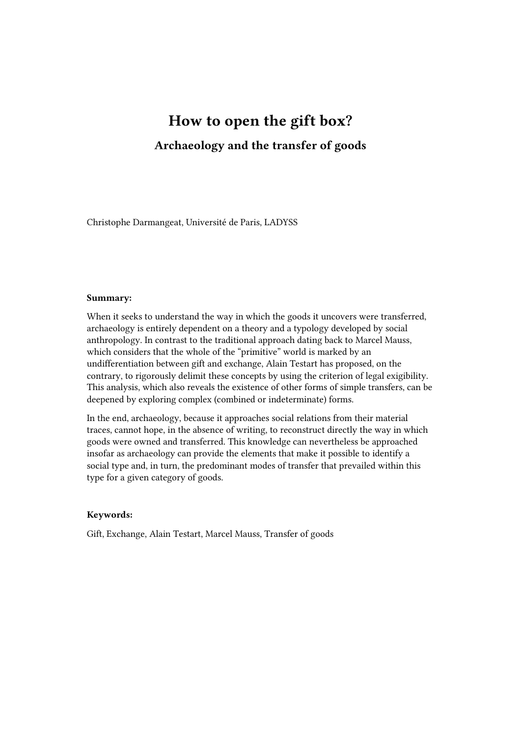# How to open the gift box? Archaeology and the transfer of goods

Christophe Darmangeat, Université de Paris, LADYSS

#### Summary:

When it seeks to understand the way in which the goods it uncovers were transferred, archaeology is entirely dependent on a theory and a typology developed by social anthropology. In contrast to the traditional approach dating back to Marcel Mauss, which considers that the whole of the "primitive" world is marked by an undifferentiation between gift and exchange, Alain Testart has proposed, on the contrary, to rigorously delimit these concepts by using the criterion of legal exigibility. This analysis, which also reveals the existence of other forms of simple transfers, can be deepened by exploring complex (combined or indeterminate) forms.

In the end, archaeology, because it approaches social relations from their material traces, cannot hope, in the absence of writing, to reconstruct directly the way in which goods were owned and transferred. This knowledge can nevertheless be approached insofar as archaeology can provide the elements that make it possible to identify a social type and, in turn, the predominant modes of transfer that prevailed within this type for a given category of goods.

#### Keywords:

Gift, Exchange, Alain Testart, Marcel Mauss, Transfer of goods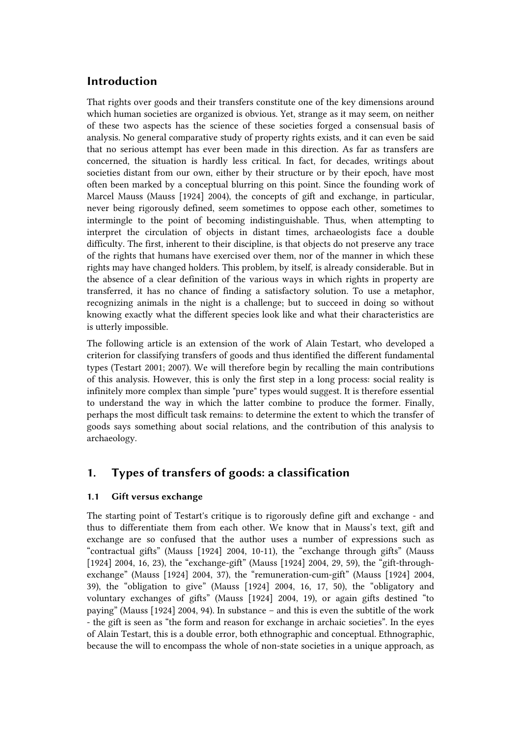# Introduction

That rights over goods and their transfers constitute one of the key dimensions around which human societies are organized is obvious. Yet, strange as it may seem, on neither of these two aspects has the science of these societies forged a consensual basis of analysis. No general comparative study of property rights exists, and it can even be said that no serious attempt has ever been made in this direction. As far as transfers are concerned, the situation is hardly less critical. In fact, for decades, writings about societies distant from our own, either by their structure or by their epoch, have most often been marked by a conceptual blurring on this point. Since the founding work of Marcel Mauss (Mauss [1924] 2004), the concepts of gift and exchange, in particular, never being rigorously defined, seem sometimes to oppose each other, sometimes to intermingle to the point of becoming indistinguishable. Thus, when attempting to interpret the circulation of objects in distant times, archaeologists face a double difficulty. The first, inherent to their discipline, is that objects do not preserve any trace of the rights that humans have exercised over them, nor of the manner in which these rights may have changed holders. This problem, by itself, is already considerable. But in the absence of a clear definition of the various ways in which rights in property are transferred, it has no chance of finding a satisfactory solution. To use a metaphor, recognizing animals in the night is a challenge; but to succeed in doing so without knowing exactly what the different species look like and what their characteristics are is utterly impossible.

The following article is an extension of the work of Alain Testart, who developed a criterion for classifying transfers of goods and thus identified the different fundamental types (Testart 2001; 2007). We will therefore begin by recalling the main contributions of this analysis. However, this is only the first step in a long process: social reality is infinitely more complex than simple "pure" types would suggest. It is therefore essential to understand the way in which the latter combine to produce the former. Finally, perhaps the most difficult task remains: to determine the extent to which the transfer of goods says something about social relations, and the contribution of this analysis to archaeology.

# 1. Types of transfers of goods: a classification

## 1.1 Gift versus exchange

The starting point of Testart's critique is to rigorously define gift and exchange - and thus to differentiate them from each other. We know that in Mauss's text, gift and exchange are so confused that the author uses a number of expressions such as "contractual gifts" (Mauss [1924] 2004, 10‑11), the "exchange through gifts" (Mauss [1924] 2004, 16, 23), the "exchange-gift" (Mauss [1924] 2004, 29, 59), the "gift-throughexchange" (Mauss [1924] 2004, 37), the "remuneration-cum-gift" (Mauss [1924] 2004, 39), the "obligation to give" (Mauss [1924] 2004, 16, 17, 50), the "obligatory and voluntary exchanges of gifts" (Mauss [1924] 2004, 19), or again gifts destined "to paying" (Mauss [1924] 2004, 94). In substance – and this is even the subtitle of the work - the gift is seen as "the form and reason for exchange in archaic societies". In the eyes of Alain Testart, this is a double error, both ethnographic and conceptual. Ethnographic, because the will to encompass the whole of non-state societies in a unique approach, as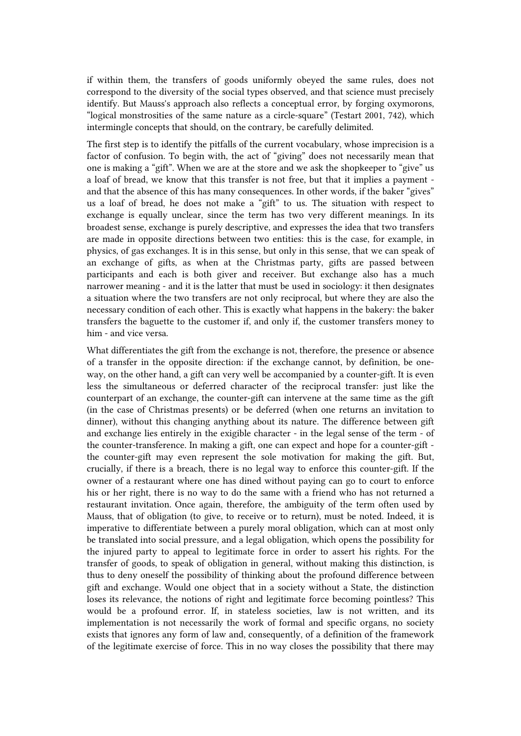if within them, the transfers of goods uniformly obeyed the same rules, does not correspond to the diversity of the social types observed, and that science must precisely identify. But Mauss's approach also reflects a conceptual error, by forging oxymorons, "logical monstrosities of the same nature as a circle-square" (Testart 2001, 742), which intermingle concepts that should, on the contrary, be carefully delimited.

The first step is to identify the pitfalls of the current vocabulary, whose imprecision is a factor of confusion. To begin with, the act of "giving" does not necessarily mean that one is making a "gift". When we are at the store and we ask the shopkeeper to "give" us a loaf of bread, we know that this transfer is not free, but that it implies a payment and that the absence of this has many consequences. In other words, if the baker "gives" us a loaf of bread, he does not make a "gift" to us. The situation with respect to exchange is equally unclear, since the term has two very different meanings. In its broadest sense, exchange is purely descriptive, and expresses the idea that two transfers are made in opposite directions between two entities: this is the case, for example, in physics, of gas exchanges. It is in this sense, but only in this sense, that we can speak of an exchange of gifts, as when at the Christmas party, gifts are passed between participants and each is both giver and receiver. But exchange also has a much narrower meaning - and it is the latter that must be used in sociology: it then designates a situation where the two transfers are not only reciprocal, but where they are also the necessary condition of each other. This is exactly what happens in the bakery: the baker transfers the baguette to the customer if, and only if, the customer transfers money to him - and vice versa.

What differentiates the gift from the exchange is not, therefore, the presence or absence of a transfer in the opposite direction: if the exchange cannot, by definition, be oneway, on the other hand, a gift can very well be accompanied by a counter-gift. It is even less the simultaneous or deferred character of the reciprocal transfer: just like the counterpart of an exchange, the counter-gift can intervene at the same time as the gift (in the case of Christmas presents) or be deferred (when one returns an invitation to dinner), without this changing anything about its nature. The difference between gift and exchange lies entirely in the exigible character - in the legal sense of the term - of the counter-transference. In making a gift, one can expect and hope for a counter-gift the counter-gift may even represent the sole motivation for making the gift. But, crucially, if there is a breach, there is no legal way to enforce this counter-gift. If the owner of a restaurant where one has dined without paying can go to court to enforce his or her right, there is no way to do the same with a friend who has not returned a restaurant invitation. Once again, therefore, the ambiguity of the term often used by Mauss, that of obligation (to give, to receive or to return), must be noted. Indeed, it is imperative to differentiate between a purely moral obligation, which can at most only be translated into social pressure, and a legal obligation, which opens the possibility for the injured party to appeal to legitimate force in order to assert his rights. For the transfer of goods, to speak of obligation in general, without making this distinction, is thus to deny oneself the possibility of thinking about the profound difference between gift and exchange. Would one object that in a society without a State, the distinction loses its relevance, the notions of right and legitimate force becoming pointless? This would be a profound error. If, in stateless societies, law is not written, and its implementation is not necessarily the work of formal and specific organs, no society exists that ignores any form of law and, consequently, of a definition of the framework of the legitimate exercise of force. This in no way closes the possibility that there may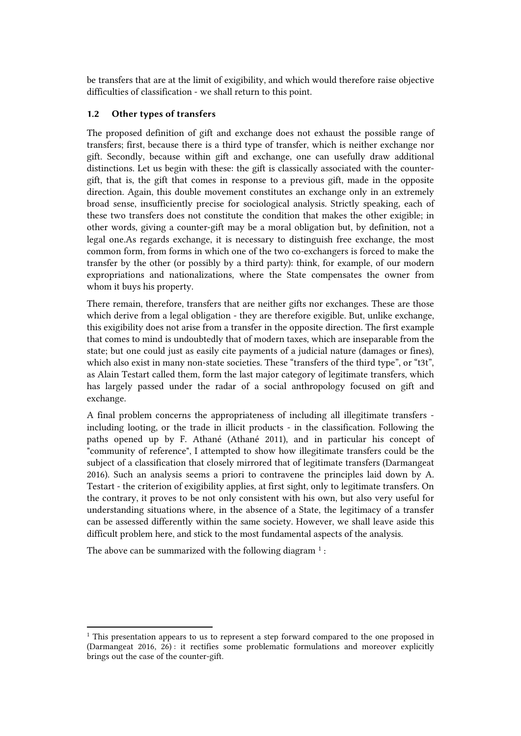be transfers that are at the limit of exigibility, and which would therefore raise objective difficulties of classification - we shall return to this point.

## 1.2 Other types of transfers

The proposed definition of gift and exchange does not exhaust the possible range of transfers; first, because there is a third type of transfer, which is neither exchange nor gift. Secondly, because within gift and exchange, one can usefully draw additional distinctions. Let us begin with these: the gift is classically associated with the countergift, that is, the gift that comes in response to a previous gift, made in the opposite direction. Again, this double movement constitutes an exchange only in an extremely broad sense, insufficiently precise for sociological analysis. Strictly speaking, each of these two transfers does not constitute the condition that makes the other exigible; in other words, giving a counter-gift may be a moral obligation but, by definition, not a legal one.As regards exchange, it is necessary to distinguish free exchange, the most common form, from forms in which one of the two co-exchangers is forced to make the transfer by the other (or possibly by a third party): think, for example, of our modern expropriations and nationalizations, where the State compensates the owner from whom it buys his property.

There remain, therefore, transfers that are neither gifts nor exchanges. These are those which derive from a legal obligation - they are therefore exigible. But, unlike exchange, this exigibility does not arise from a transfer in the opposite direction. The first example that comes to mind is undoubtedly that of modern taxes, which are inseparable from the state; but one could just as easily cite payments of a judicial nature (damages or fines), which also exist in many non-state societies. These "transfers of the third type", or "t3t". as Alain Testart called them, form the last major category of legitimate transfers, which has largely passed under the radar of a social anthropology focused on gift and exchange.

A final problem concerns the appropriateness of including all illegitimate transfers including looting, or the trade in illicit products - in the classification. Following the paths opened up by F. Athané (Athané 2011), and in particular his concept of "community of reference", I attempted to show how illegitimate transfers could be the subject of a classification that closely mirrored that of legitimate transfers (Darmangeat 2016). Such an analysis seems a priori to contravene the principles laid down by A. Testart - the criterion of exigibility applies, at first sight, only to legitimate transfers. On the contrary, it proves to be not only consistent with his own, but also very useful for understanding situations where, in the absence of a State, the legitimacy of a transfer can be assessed differently within the same society. However, we shall leave aside this difficult problem here, and stick to the most fundamental aspects of the analysis.

The above can be summarized with the following diagram  $<sup>1</sup>$  $<sup>1</sup>$  $<sup>1</sup>$ :</sup>

<span id="page-3-0"></span><sup>&</sup>lt;sup>1</sup> This presentation appears to us to represent a step forward compared to the one proposed in (Darmangeat 2016, 26) : it rectifies some problematic formulations and moreover explicitly brings out the case of the counter-gift.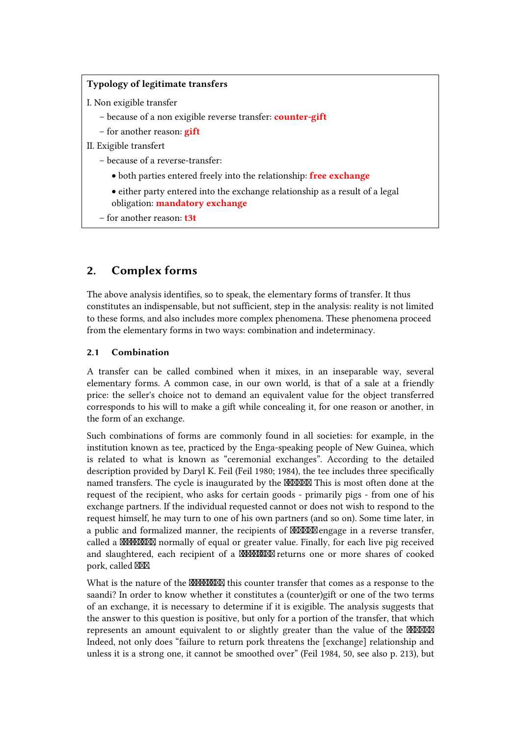## Typology of legitimate transfers

I. Non exigible transfer

- because of a non exigible reverse transfer: **counter-gift**
- for another reason: **gift**
- II. Exigible transfert
	- because of a reverse-transfer:
		- both parties entered freely into the relationship: free exchange
		- either party entered into the exchange relationship as a result of a legal obligation: mandatory exchange
	- for another reason: t3t

# 2. Complex forms

The above analysis identifies, so to speak, the elementary forms of transfer. It thus constitutes an indispensable, but not sufficient, step in the analysis: reality is not limited to these forms, and also includes more complex phenomena. These phenomena proceed from the elementary forms in two ways: combination and indeterminacy.

## 2.1 Combination

A transfer can be called combined when it mixes, in an inseparable way, several elementary forms. A common case, in our own world, is that of a sale at a friendly price: the seller's choice not to demand an equivalent value for the object transferred corresponds to his will to make a gift while concealing it, for one reason or another, in the form of an exchange.

Such combinations of forms are commonly found in all societies: for example, in the institution known as tee, practiced by the Enga-speaking people of New Guinea, which is related to what is known as "ceremonial exchanges". According to the detailed description provided by Daryl K. Feil (Feil 1980; 1984), the tee includes three specifically named transfers. The cycle is inaugurated by the **NAMAN** This is most often done at the request of the recipient, who asks for certain goods - primarily pigs - from one of his exchange partners. If the individual requested cannot or does not wish to respond to the request himself, he may turn to one of his own partners (and so on). Some time later, in a public and formalized manner, the recipients of **MMMM** engage in a reverse transfer, called a **KAMAXXX** normally of equal or greater value. Finally, for each live pig received and slaughtered, each recipient of a **MANAXIXI** returns one or more shares of cooked pork, called XXX

What is the nature of the **WWWWX** this counter transfer that comes as a response to the saandi? In order to know whether it constitutes a (counter)gift or one of the two terms of an exchange, it is necessary to determine if it is exigible. The analysis suggests that the answer to this question is positive, but only for a portion of the transfer, that which represents an amount equivalent to or slightly greater than the value of the **MMMM** Indeed, not only does "failure to return pork threatens the [exchange] relationship and unless it is a strong one, it cannot be smoothed over" (Feil 1984, 50, see also p. 213), but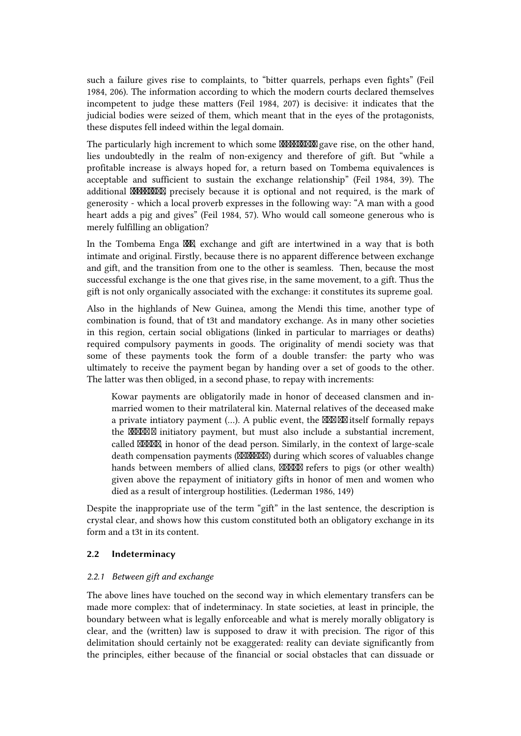such a failure gives rise to complaints, to "bitter quarrels, perhaps even fights" (Feil 1984, 206). The information according to which the modern courts declared themselves incompetent to judge these matters (Feil 1984, 207) is decisive: it indicates that the judicial bodies were seized of them, which meant that in the eyes of the protagonists, these disputes fell indeed within the legal domain.

The particularly high increment to which some **MANXXXX** gave rise, on the other hand, lies undoubtedly in the realm of non-exigency and therefore of gift. But "while a profitable increase is always hoped for, a return based on Tombema equivalences is acceptable and sufficient to sustain the exchange relationship" (Feil 1984, 39). The additional **MMMMM** precisely because it is optional and not required, is the mark of generosity - which a local proverb expresses in the following way: "A man with a good heart adds a pig and gives" (Feil 1984, 57). Who would call someone generous who is merely fulfilling an obligation?

In the Tombema Enga tee, exchange and gift are intertwined in a way that is both intimate and original. Firstly, because there is no apparent difference between exchange and gift, and the transition from one to the other is seamless. Then, because the most successful exchange is the one that gives rise, in the same movement, to a gift. Thus the gift is not only organically associated with the exchange: it constitutes its supreme goal.

Also in the highlands of New Guinea, among the Mendi this time, another type of combination is found, that of t3t and mandatory exchange. As in many other societies in this region, certain social obligations (linked in particular to marriages or deaths) required compulsory payments in goods. The originality of mendi society was that some of these payments took the form of a double transfer: the party who was ultimately to receive the payment began by handing over a set of goods to the other. The latter was then obliged, in a second phase, to repay with increments:

Kowar payments are obligatorily made in honor of deceased clansmen and inmarried women to their matrilateral kin. Maternal relatives of the deceased make a private intiatory payment  $(...)$ . A public event, the  $\mathbb{M}\mathbb{M}$  itself formally repays the **MMM** initiatory payment, but must also include a substantial increment, called XXXX in honor of the dead person. Similarly, in the context of large-scale death compensation payments (XXXXXX) during which scores of valuables change hands between members of allied clans, NOOM refers to pigs (or other wealth) given above the repayment of initiatory gifts in honor of men and women who died as a result of intergroup hostilities. (Lederman 1986, 149)

Despite the inappropriate use of the term "gift" in the last sentence, the description is crystal clear, and shows how this custom constituted both an obligatory exchange in its form and a t3t in its content.

#### 2.2 Indeterminacy

#### *2.2.1 Between gift and exchange*

The above lines have touched on the second way in which elementary transfers can be made more complex: that of indeterminacy. In state societies, at least in principle, the boundary between what is legally enforceable and what is merely morally obligatory is clear, and the (written) law is supposed to draw it with precision. The rigor of this delimitation should certainly not be exaggerated: reality can deviate significantly from the principles, either because of the financial or social obstacles that can dissuade or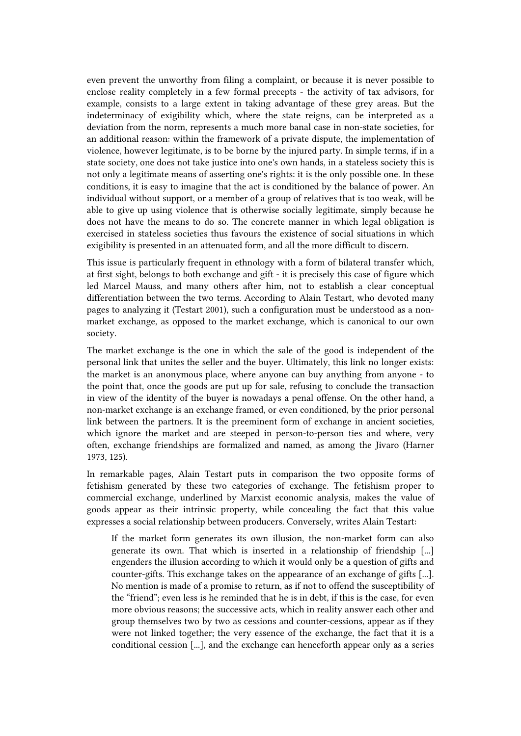even prevent the unworthy from filing a complaint, or because it is never possible to enclose reality completely in a few formal precepts - the activity of tax advisors, for example, consists to a large extent in taking advantage of these grey areas. But the indeterminacy of exigibility which, where the state reigns, can be interpreted as a deviation from the norm, represents a much more banal case in non-state societies, for an additional reason: within the framework of a private dispute, the implementation of violence, however legitimate, is to be borne by the injured party. In simple terms, if in a state society, one does not take justice into one's own hands, in a stateless society this is not only a legitimate means of asserting one's rights: it is the only possible one. In these conditions, it is easy to imagine that the act is conditioned by the balance of power. An individual without support, or a member of a group of relatives that is too weak, will be able to give up using violence that is otherwise socially legitimate, simply because he does not have the means to do so. The concrete manner in which legal obligation is exercised in stateless societies thus favours the existence of social situations in which exigibility is presented in an attenuated form, and all the more difficult to discern.

This issue is particularly frequent in ethnology with a form of bilateral transfer which, at first sight, belongs to both exchange and gift - it is precisely this case of figure which led Marcel Mauss, and many others after him, not to establish a clear conceptual differentiation between the two terms. According to Alain Testart, who devoted many pages to analyzing it (Testart 2001), such a configuration must be understood as a nonmarket exchange, as opposed to the market exchange, which is canonical to our own society.

The market exchange is the one in which the sale of the good is independent of the personal link that unites the seller and the buyer. Ultimately, this link no longer exists: the market is an anonymous place, where anyone can buy anything from anyone - to the point that, once the goods are put up for sale, refusing to conclude the transaction in view of the identity of the buyer is nowadays a penal offense. On the other hand, a non-market exchange is an exchange framed, or even conditioned, by the prior personal link between the partners. It is the preeminent form of exchange in ancient societies, which ignore the market and are steeped in person-to-person ties and where, very often, exchange friendships are formalized and named, as among the Jivaro (Harner 1973, 125).

In remarkable pages, Alain Testart puts in comparison the two opposite forms of fetishism generated by these two categories of exchange. The fetishism proper to commercial exchange, underlined by Marxist economic analysis, makes the value of goods appear as their intrinsic property, while concealing the fact that this value expresses a social relationship between producers. Conversely, writes Alain Testart:

If the market form generates its own illusion, the non-market form can also generate its own. That which is inserted in a relationship of friendship [...] engenders the illusion according to which it would only be a question of gifts and counter-gifts. This exchange takes on the appearance of an exchange of gifts [...]. No mention is made of a promise to return, as if not to offend the susceptibility of the "friend"; even less is he reminded that he is in debt, if this is the case, for even more obvious reasons; the successive acts, which in reality answer each other and group themselves two by two as cessions and counter-cessions, appear as if they were not linked together; the very essence of the exchange, the fact that it is a conditional cession [...], and the exchange can henceforth appear only as a series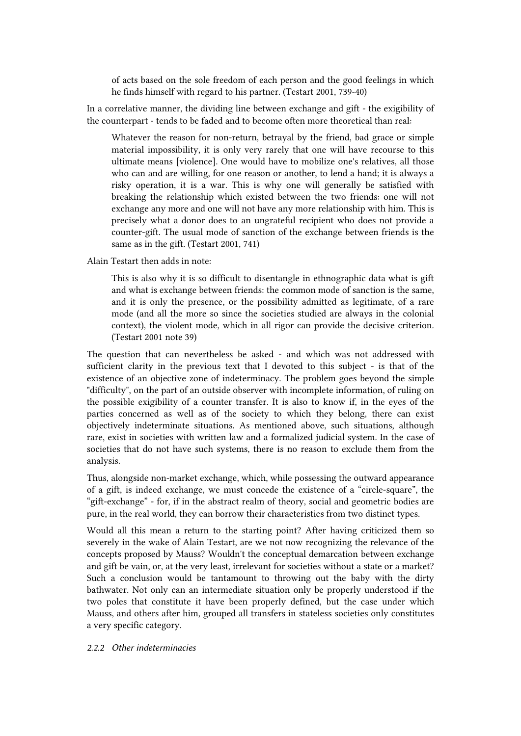of acts based on the sole freedom of each person and the good feelings in which he finds himself with regard to his partner. (Testart 2001, 739‑40)

In a correlative manner, the dividing line between exchange and gift - the exigibility of the counterpart - tends to be faded and to become often more theoretical than real:

Whatever the reason for non-return, betrayal by the friend, bad grace or simple material impossibility, it is only very rarely that one will have recourse to this ultimate means [violence]. One would have to mobilize one's relatives, all those who can and are willing, for one reason or another, to lend a hand; it is always a risky operation, it is a war. This is why one will generally be satisfied with breaking the relationship which existed between the two friends: one will not exchange any more and one will not have any more relationship with him. This is precisely what a donor does to an ungrateful recipient who does not provide a counter-gift. The usual mode of sanction of the exchange between friends is the same as in the gift. (Testart 2001, 741)

Alain Testart then adds in note:

This is also why it is so difficult to disentangle in ethnographic data what is gift and what is exchange between friends: the common mode of sanction is the same, and it is only the presence, or the possibility admitted as legitimate, of a rare mode (and all the more so since the societies studied are always in the colonial context), the violent mode, which in all rigor can provide the decisive criterion. (Testart 2001 note 39)

The question that can nevertheless be asked - and which was not addressed with sufficient clarity in the previous text that I devoted to this subject - is that of the existence of an objective zone of indeterminacy. The problem goes beyond the simple "difficulty", on the part of an outside observer with incomplete information, of ruling on the possible exigibility of a counter transfer. It is also to know if, in the eyes of the parties concerned as well as of the society to which they belong, there can exist objectively indeterminate situations. As mentioned above, such situations, although rare, exist in societies with written law and a formalized judicial system. In the case of societies that do not have such systems, there is no reason to exclude them from the analysis.

Thus, alongside non-market exchange, which, while possessing the outward appearance of a gift, is indeed exchange, we must concede the existence of a "circle-square", the "gift-exchange" - for, if in the abstract realm of theory, social and geometric bodies are pure, in the real world, they can borrow their characteristics from two distinct types.

Would all this mean a return to the starting point? After having criticized them so severely in the wake of Alain Testart, are we not now recognizing the relevance of the concepts proposed by Mauss? Wouldn't the conceptual demarcation between exchange and gift be vain, or, at the very least, irrelevant for societies without a state or a market? Such a conclusion would be tantamount to throwing out the baby with the dirty bathwater. Not only can an intermediate situation only be properly understood if the two poles that constitute it have been properly defined, but the case under which Mauss, and others after him, grouped all transfers in stateless societies only constitutes a very specific category.

#### *2.2.2 Other indeterminacies*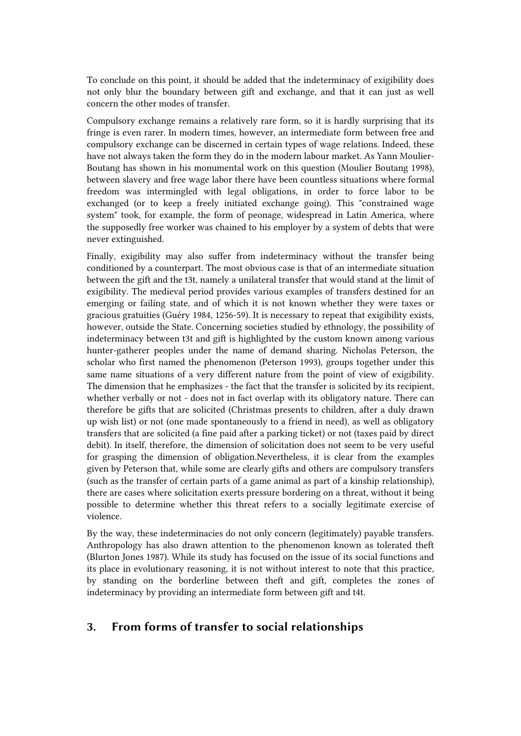To conclude on this point, it should be added that the indeterminacy of exigibility does not only blur the boundary between gift and exchange, and that it can just as well concern the other modes of transfer.

Compulsory exchange remains a relatively rare form, so it is hardly surprising that its fringe is even rarer. In modern times, however, an intermediate form between free and compulsory exchange can be discerned in certain types of wage relations. Indeed, these have not always taken the form they do in the modern labour market. As Yann Moulier-Boutang has shown in his monumental work on this question (Moulier Boutang 1998), between slavery and free wage labor there have been countless situations where formal freedom was intermingled with legal obligations, in order to force labor to be exchanged (or to keep a freely initiated exchange going). This "constrained wage system" took, for example, the form of peonage, widespread in Latin America, where the supposedly free worker was chained to his employer by a system of debts that were never extinguished.

Finally, exigibility may also suffer from indeterminacy without the transfer being conditioned by a counterpart. The most obvious case is that of an intermediate situation between the gift and the t3t, namely a unilateral transfer that would stand at the limit of exigibility. The medieval period provides various examples of transfers destined for an emerging or failing state, and of which it is not known whether they were taxes or gracious gratuities (Guéry 1984, 1256‑59). It is necessary to repeat that exigibility exists, however, outside the State. Concerning societies studied by ethnology, the possibility of indeterminacy between t3t and gift is highlighted by the custom known among various hunter-gatherer peoples under the name of demand sharing. Nicholas Peterson, the scholar who first named the phenomenon (Peterson 1993), groups together under this same name situations of a very different nature from the point of view of exigibility. The dimension that he emphasizes - the fact that the transfer is solicited by its recipient, whether verbally or not - does not in fact overlap with its obligatory nature. There can therefore be gifts that are solicited (Christmas presents to children, after a duly drawn up wish list) or not (one made spontaneously to a friend in need), as well as obligatory transfers that are solicited (a fine paid after a parking ticket) or not (taxes paid by direct debit). In itself, therefore, the dimension of solicitation does not seem to be very useful for grasping the dimension of obligation.Nevertheless, it is clear from the examples given by Peterson that, while some are clearly gifts and others are compulsory transfers (such as the transfer of certain parts of a game animal as part of a kinship relationship), there are cases where solicitation exerts pressure bordering on a threat, without it being possible to determine whether this threat refers to a socially legitimate exercise of violence.

By the way, these indeterminacies do not only concern (legitimately) payable transfers. Anthropology has also drawn attention to the phenomenon known as tolerated theft (Blurton Jones 1987). While its study has focused on the issue of its social functions and its place in evolutionary reasoning, it is not without interest to note that this practice, by standing on the borderline between theft and gift, completes the zones of indeterminacy by providing an intermediate form between gift and t4t.

# 3. From forms of transfer to social relationships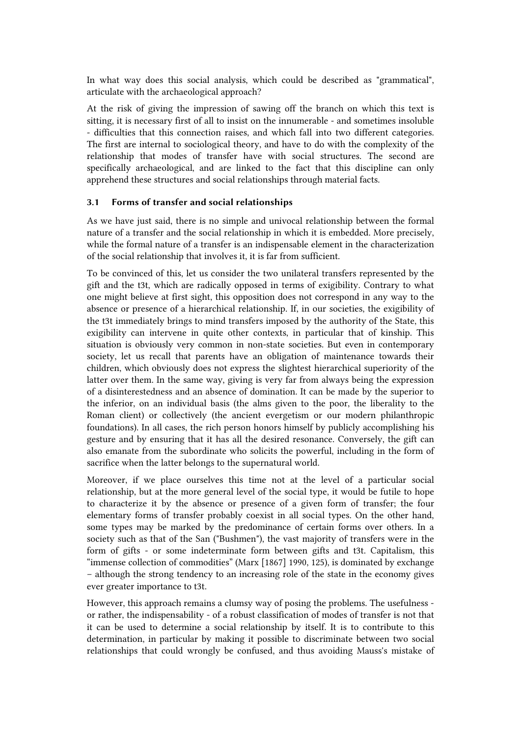In what way does this social analysis, which could be described as "grammatical", articulate with the archaeological approach?

At the risk of giving the impression of sawing off the branch on which this text is sitting, it is necessary first of all to insist on the innumerable - and sometimes insoluble - difficulties that this connection raises, and which fall into two different categories. The first are internal to sociological theory, and have to do with the complexity of the relationship that modes of transfer have with social structures. The second are specifically archaeological, and are linked to the fact that this discipline can only apprehend these structures and social relationships through material facts.

#### 3.1 Forms of transfer and social relationships

As we have just said, there is no simple and univocal relationship between the formal nature of a transfer and the social relationship in which it is embedded. More precisely, while the formal nature of a transfer is an indispensable element in the characterization of the social relationship that involves it, it is far from sufficient.

To be convinced of this, let us consider the two unilateral transfers represented by the gift and the t3t, which are radically opposed in terms of exigibility. Contrary to what one might believe at first sight, this opposition does not correspond in any way to the absence or presence of a hierarchical relationship. If, in our societies, the exigibility of the t3t immediately brings to mind transfers imposed by the authority of the State, this exigibility can intervene in quite other contexts, in particular that of kinship. This situation is obviously very common in non-state societies. But even in contemporary society, let us recall that parents have an obligation of maintenance towards their children, which obviously does not express the slightest hierarchical superiority of the latter over them. In the same way, giving is very far from always being the expression of a disinterestedness and an absence of domination. It can be made by the superior to the inferior, on an individual basis (the alms given to the poor, the liberality to the Roman client) or collectively (the ancient evergetism or our modern philanthropic foundations). In all cases, the rich person honors himself by publicly accomplishing his gesture and by ensuring that it has all the desired resonance. Conversely, the gift can also emanate from the subordinate who solicits the powerful, including in the form of sacrifice when the latter belongs to the supernatural world.

Moreover, if we place ourselves this time not at the level of a particular social relationship, but at the more general level of the social type, it would be futile to hope to characterize it by the absence or presence of a given form of transfer; the four elementary forms of transfer probably coexist in all social types. On the other hand, some types may be marked by the predominance of certain forms over others. In a society such as that of the San ("Bushmen"), the vast majority of transfers were in the form of gifts - or some indeterminate form between gifts and t3t. Capitalism, this "immense collection of commodities" (Marx [1867] 1990, 125), is dominated by exchange – although the strong tendency to an increasing role of the state in the economy gives ever greater importance to t3t.

However, this approach remains a clumsy way of posing the problems. The usefulness or rather, the indispensability - of a robust classification of modes of transfer is not that it can be used to determine a social relationship by itself. It is to contribute to this determination, in particular by making it possible to discriminate between two social relationships that could wrongly be confused, and thus avoiding Mauss's mistake of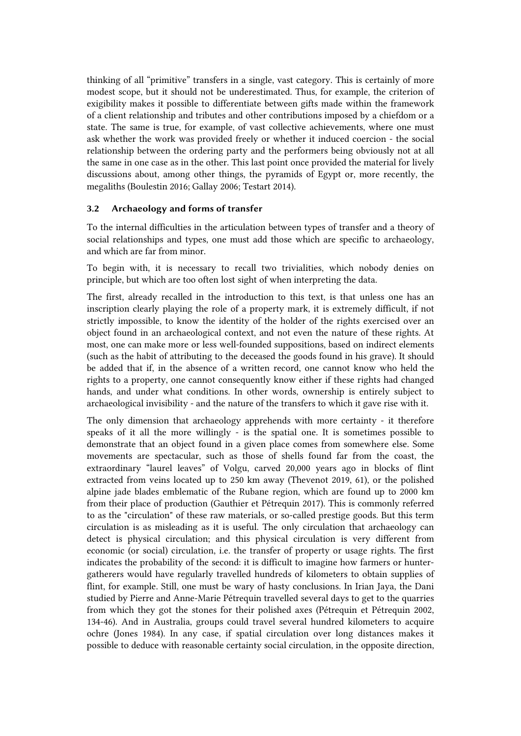thinking of all "primitive" transfers in a single, vast category. This is certainly of more modest scope, but it should not be underestimated. Thus, for example, the criterion of exigibility makes it possible to differentiate between gifts made within the framework of a client relationship and tributes and other contributions imposed by a chiefdom or a state. The same is true, for example, of vast collective achievements, where one must ask whether the work was provided freely or whether it induced coercion - the social relationship between the ordering party and the performers being obviously not at all the same in one case as in the other. This last point once provided the material for lively discussions about, among other things, the pyramids of Egypt or, more recently, the megaliths (Boulestin 2016; Gallay 2006; Testart 2014).

## 3.2 Archaeology and forms of transfer

To the internal difficulties in the articulation between types of transfer and a theory of social relationships and types, one must add those which are specific to archaeology, and which are far from minor.

To begin with, it is necessary to recall two trivialities, which nobody denies on principle, but which are too often lost sight of when interpreting the data.

The first, already recalled in the introduction to this text, is that unless one has an inscription clearly playing the role of a property mark, it is extremely difficult, if not strictly impossible, to know the identity of the holder of the rights exercised over an object found in an archaeological context, and not even the nature of these rights. At most, one can make more or less well-founded suppositions, based on indirect elements (such as the habit of attributing to the deceased the goods found in his grave). It should be added that if, in the absence of a written record, one cannot know who held the rights to a property, one cannot consequently know either if these rights had changed hands, and under what conditions. In other words, ownership is entirely subject to archaeological invisibility - and the nature of the transfers to which it gave rise with it.

The only dimension that archaeology apprehends with more certainty - it therefore speaks of it all the more willingly - is the spatial one. It is sometimes possible to demonstrate that an object found in a given place comes from somewhere else. Some movements are spectacular, such as those of shells found far from the coast, the extraordinary "laurel leaves" of Volgu, carved 20,000 years ago in blocks of flint extracted from veins located up to 250 km away (Thevenot 2019, 61), or the polished alpine jade blades emblematic of the Rubane region, which are found up to 2000 km from their place of production (Gauthier et Pétrequin 2017). This is commonly referred to as the "circulation" of these raw materials, or so-called prestige goods. But this term circulation is as misleading as it is useful. The only circulation that archaeology can detect is physical circulation; and this physical circulation is very different from economic (or social) circulation, i.e. the transfer of property or usage rights. The first indicates the probability of the second: it is difficult to imagine how farmers or huntergatherers would have regularly travelled hundreds of kilometers to obtain supplies of flint, for example. Still, one must be wary of hasty conclusions. In Irian Jaya, the Dani studied by Pierre and Anne-Marie Pétrequin travelled several days to get to the quarries from which they got the stones for their polished axes (Pétrequin et Pétrequin 2002, 134‑46). And in Australia, groups could travel several hundred kilometers to acquire ochre (Jones 1984). In any case, if spatial circulation over long distances makes it possible to deduce with reasonable certainty social circulation, in the opposite direction,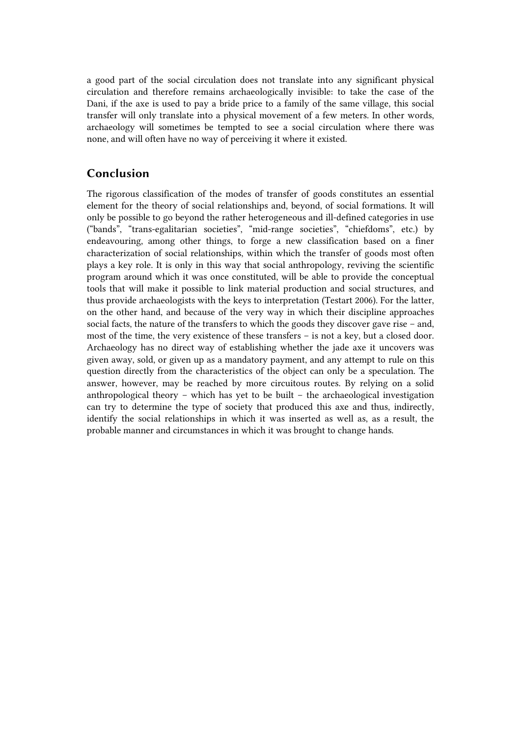a good part of the social circulation does not translate into any significant physical circulation and therefore remains archaeologically invisible: to take the case of the Dani, if the axe is used to pay a bride price to a family of the same village, this social transfer will only translate into a physical movement of a few meters. In other words, archaeology will sometimes be tempted to see a social circulation where there was none, and will often have no way of perceiving it where it existed.

# Conclusion

The rigorous classification of the modes of transfer of goods constitutes an essential element for the theory of social relationships and, beyond, of social formations. It will only be possible to go beyond the rather heterogeneous and ill-defined categories in use ("bands", "trans-egalitarian societies", "mid-range societies", "chiefdoms", etc.) by endeavouring, among other things, to forge a new classification based on a finer characterization of social relationships, within which the transfer of goods most often plays a key role. It is only in this way that social anthropology, reviving the scientific program around which it was once constituted, will be able to provide the conceptual tools that will make it possible to link material production and social structures, and thus provide archaeologists with the keys to interpretation (Testart 2006). For the latter, on the other hand, and because of the very way in which their discipline approaches social facts, the nature of the transfers to which the goods they discover gave rise – and, most of the time, the very existence of these transfers – is not a key, but a closed door. Archaeology has no direct way of establishing whether the jade axe it uncovers was given away, sold, or given up as a mandatory payment, and any attempt to rule on this question directly from the characteristics of the object can only be a speculation. The answer, however, may be reached by more circuitous routes. By relying on a solid anthropological theory – which has yet to be built – the archaeological investigation can try to determine the type of society that produced this axe and thus, indirectly, identify the social relationships in which it was inserted as well as, as a result, the probable manner and circumstances in which it was brought to change hands.